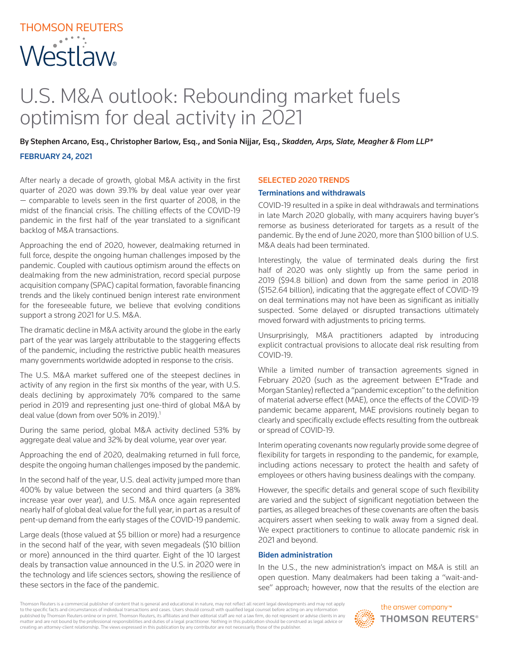# THOMSON REUTERS Westlaw

# U.S. M&A outlook: Rebounding market fuels optimism for deal activity in 2021

By Stephen Arcano, Esq., Christopher Barlow, Esq., and Sonia Nijjar, Esq., *Skadden, Arps, Slate, Meagher & Flom LLP\** FEBRUARY 24, 2021

After nearly a decade of growth, global M&A activity in the first quarter of 2020 was down 39.1% by deal value year over year — comparable to levels seen in the first quarter of 2008, in the midst of the financial crisis. The chilling effects of the COVID-19 pandemic in the first half of the year translated to a significant backlog of M&A transactions.

Approaching the end of 2020, however, dealmaking returned in full force, despite the ongoing human challenges imposed by the pandemic. Coupled with cautious optimism around the effects on dealmaking from the new administration, record special purpose acquisition company (SPAC) capital formation, favorable financing trends and the likely continued benign interest rate environment for the foreseeable future, we believe that evolving conditions support a strong 2021 for U.S. M&A.

The dramatic decline in M&A activity around the globe in the early part of the year was largely attributable to the staggering effects of the pandemic, including the restrictive public health measures many governments worldwide adopted in response to the crisis.

The U.S. M&A market suffered one of the steepest declines in activity of any region in the first six months of the year, with U.S. deals declining by approximately 70% compared to the same period in 2019 and representing just one-third of global M&A by deal value (down from over 50% in 2019).<sup>1</sup>

During the same period, global M&A activity declined 53% by aggregate deal value and 32% by deal volume, year over year.

Approaching the end of 2020, dealmaking returned in full force, despite the ongoing human challenges imposed by the pandemic.

In the second half of the year, U.S. deal activity jumped more than 400% by value between the second and third quarters (a 38% increase year over year), and U.S. M&A once again represented nearly half of global deal value for the full year, in part as a result of pent-up demand from the early stages of the COVID-19 pandemic.

Large deals (those valued at \$5 billion or more) had a resurgence in the second half of the year, with seven megadeals (\$10 billion or more) announced in the third quarter. Eight of the 10 largest deals by transaction value announced in the U.S. in 2020 were in the technology and life sciences sectors, showing the resilience of these sectors in the face of the pandemic.

## SELECTED 2020 TRENDS

#### Terminations and withdrawals

COVID-19 resulted in a spike in deal withdrawals and terminations in late March 2020 globally, with many acquirers having buyer's remorse as business deteriorated for targets as a result of the pandemic. By the end of June 2020, more than \$100 billion of U.S. M&A deals had been terminated.

Interestingly, the value of terminated deals during the first half of 2020 was only slightly up from the same period in 2019 (\$94.8 billion) and down from the same period in 2018 (\$152.64 billion), indicating that the aggregate effect of COVID-19 on deal terminations may not have been as significant as initially suspected. Some delayed or disrupted transactions ultimately moved forward with adjustments to pricing terms.

Unsurprisingly, M&A practitioners adapted by introducing explicit contractual provisions to allocate deal risk resulting from COVID-19.

While a limited number of transaction agreements signed in February 2020 (such as the agreement between E\*Trade and Morgan Stanley) reflected a "pandemic exception" to the definition of material adverse effect (MAE), once the effects of the COVID-19 pandemic became apparent, MAE provisions routinely began to clearly and specifically exclude effects resulting from the outbreak or spread of COVID-19.

Interim operating covenants now regularly provide some degree of flexibility for targets in responding to the pandemic, for example, including actions necessary to protect the health and safety of employees or others having business dealings with the company.

However, the specific details and general scope of such flexibility are varied and the subject of significant negotiation between the parties, as alleged breaches of these covenants are often the basis acquirers assert when seeking to walk away from a signed deal. We expect practitioners to continue to allocate pandemic risk in 2021 and beyond.

#### Biden administration

In the U.S., the new administration's impact on M&A is still an open question. Many dealmakers had been taking a "wait-andsee" approach; however, now that the results of the election are

Thomson Reuters is a commercial publisher of content that is general and educational in nature, may not reflect all recent legal developments and may not apply to the specific facts and circumstances of individual transactions and cases. Users should consult with qualified legal counsel before acting on any informatior published by Thomson Reuters online or in print. Thomson Reuters, its affiliates and their editorial staff are not a law firm, do not represent or advise clients in any matter and are not bound by the professional responsibilities and duties of a legal practitioner. Nothing in this publication should be construed as legal advice or creating an attorney-client relationship. The views expressed in this publication by any contributor are not necessarily those of the publisher.

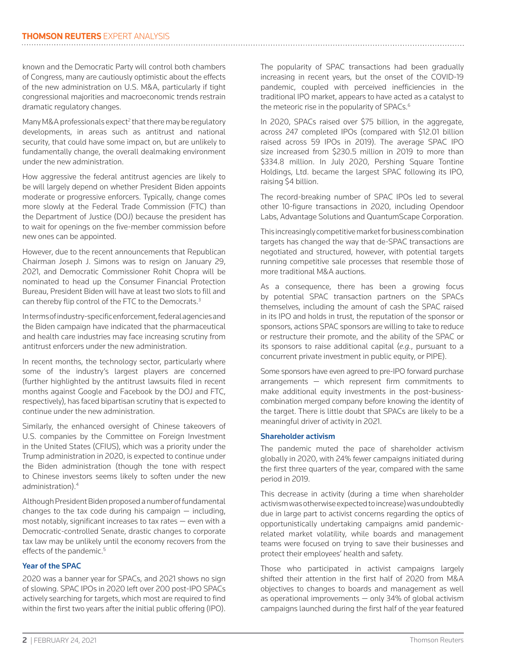known and the Democratic Party will control both chambers of Congress, many are cautiously optimistic about the effects of the new administration on U.S. M&A, particularly if tight congressional majorities and macroeconomic trends restrain dramatic regulatory changes.

Many M&A professionals expect<sup>2</sup> that there may be regulatory developments, in areas such as antitrust and national security, that could have some impact on, but are unlikely to fundamentally change, the overall dealmaking environment under the new administration.

How aggressive the federal antitrust agencies are likely to be will largely depend on whether President Biden appoints moderate or progressive enforcers. Typically, change comes more slowly at the Federal Trade Commission (FTC) than the Department of Justice (DOJ) because the president has to wait for openings on the five-member commission before new ones can be appointed.

However, due to the recent announcements that Republican Chairman Joseph J. Simons was to resign on January 29, 2021, and Democratic Commissioner Rohit Chopra will be nominated to head up the Consumer Financial Protection Bureau, President Biden will have at least two slots to fill and can thereby flip control of the FTC to the Democrats.<sup>3</sup>

In terms of industry-specific enforcement, federal agencies and the Biden campaign have indicated that the pharmaceutical and health care industries may face increasing scrutiny from antitrust enforcers under the new administration.

In recent months, the technology sector, particularly where some of the industry's largest players are concerned (further highlighted by the antitrust lawsuits filed in recent months against Google and Facebook by the DOJ and FTC, respectively), has faced bipartisan scrutiny that is expected to continue under the new administration.

Similarly, the enhanced oversight of Chinese takeovers of U.S. companies by the Committee on Foreign Investment in the United States (CFIUS), which was a priority under the Trump administration in 2020, is expected to continue under the Biden administration (though the tone with respect to Chinese investors seems likely to soften under the new administration).4

Although President Biden proposed a number of fundamental changes to the tax code during his campaign  $-$  including, most notably, significant increases to tax rates — even with a Democratic-controlled Senate, drastic changes to corporate tax law may be unlikely until the economy recovers from the effects of the pandemic.<sup>5</sup>

# Year of the SPAC

2020 was a banner year for SPACs, and 2021 shows no sign of slowing. SPAC IPOs in 2020 left over 200 post-IPO SPACs actively searching for targets, which most are required to find within the first two years after the initial public offering (IPO). The popularity of SPAC transactions had been gradually increasing in recent years, but the onset of the COVID-19 pandemic, coupled with perceived inefficiencies in the traditional IPO market, appears to have acted as a catalyst to the meteoric rise in the popularity of SPACs.<sup>6</sup>

In 2020, SPACs raised over \$75 billion, in the aggregate, across 247 completed IPOs (compared with \$12.01 billion raised across 59 IPOs in 2019). The average SPAC IPO size increased from \$230.5 million in 2019 to more than \$334.8 million. In July 2020, Pershing Square Tontine Holdings, Ltd. became the largest SPAC following its IPO, raising \$4 billion.

The record-breaking number of SPAC IPOs led to several other 10-figure transactions in 2020, including Opendoor Labs, Advantage Solutions and QuantumScape Corporation.

This increasingly competitive market for business combination targets has changed the way that de-SPAC transactions are negotiated and structured, however, with potential targets running competitive sale processes that resemble those of more traditional M&A auctions.

As a consequence, there has been a growing focus by potential SPAC transaction partners on the SPACs themselves, including the amount of cash the SPAC raised in its IPO and holds in trust, the reputation of the sponsor or sponsors, actions SPAC sponsors are willing to take to reduce or restructure their promote, and the ability of the SPAC or its sponsors to raise additional capital (*e.g.*, pursuant to a concurrent private investment in public equity, or PIPE).

Some sponsors have even agreed to pre-IPO forward purchase arrangements — which represent firm commitments to make additional equity investments in the post-businesscombination merged company before knowing the identity of the target. There is little doubt that SPACs are likely to be a meaningful driver of activity in 2021.

# Shareholder activism

The pandemic muted the pace of shareholder activism globally in 2020, with 24% fewer campaigns initiated during the first three quarters of the year, compared with the same period in 2019.

This decrease in activity (during a time when shareholder activism was otherwise expected to increase) was undoubtedly due in large part to activist concerns regarding the optics of opportunistically undertaking campaigns amid pandemicrelated market volatility, while boards and management teams were focused on trying to save their businesses and protect their employees' health and safety.

Those who participated in activist campaigns largely shifted their attention in the first half of 2020 from M&A objectives to changes to boards and management as well as operational improvements — only 34% of global activism campaigns launched during the first half of the year featured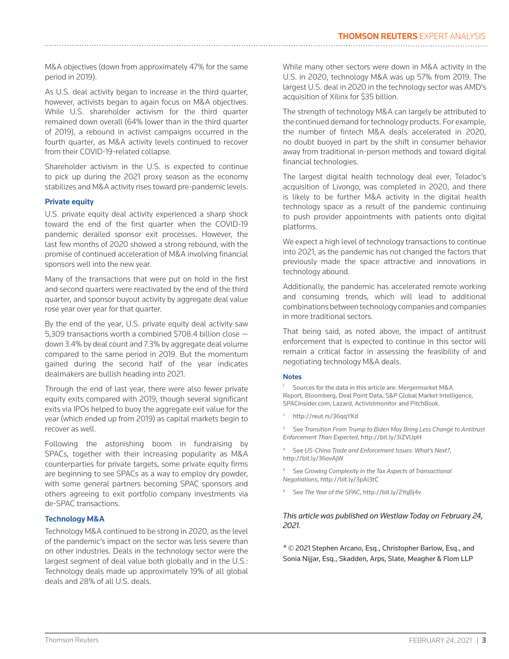M&A objectives (down from approximately 47% for the same period in 2019).

As U.S. deal activity began to increase in the third quarter, however, activists began to again focus on M&A objectives. While U.S. shareholder activism for the third quarter remained down overall (64% lower than in the third quarter of 2019), a rebound in activist campaigns occurred in the fourth quarter, as M&A activity levels continued to recover from their COVID-19-related collapse.

Shareholder activism in the U.S. is expected to continue to pick up during the 2021 proxy season as the economy stabilizes and M&A activity rises toward pre-pandemic levels.

## Private equity

U.S. private equity deal activity experienced a sharp shock toward the end of the first quarter when the COVID-19 pandemic derailed sponsor exit processes. However, the last few months of 2020 showed a strong rebound, with the promise of continued acceleration of M&A involving financial sponsors well into the new year.

Many of the transactions that were put on hold in the first and second quarters were reactivated by the end of the third quarter, and sponsor buyout activity by aggregate deal value rose year over year for that quarter.

By the end of the year, U.S. private equity deal activity saw 5,309 transactions worth a combined \$708.4 billion close down 3.4% by deal count and 7.3% by aggregate deal volume compared to the same period in 2019. But the momentum gained during the second half of the year indicates dealmakers are bullish heading into 2021.

Through the end of last year, there were also fewer private equity exits compared with 2019, though several significant exits via IPOs helped to buoy the aggregate exit value for the year (which ended up from 2019) as capital markets begin to recover as well.

Following the astonishing boom in fundraising by SPACs, together with their increasing popularity as M&A counterparties for private targets, some private equity firms are beginning to see SPACs as a way to employ dry powder, with some general partners becoming SPAC sponsors and others agreeing to exit portfolio company investments via de-SPAC transactions.

#### Technology M&A

Technology M&A continued to be strong in 2020, as the level of the pandemic's impact on the sector was less severe than on other industries. Deals in the technology sector were the largest segment of deal value both globally and in the U.S.: Technology deals made up approximately 19% of all global deals and 28% of all U.S. deals.

While many other sectors were down in M&A activity in the U.S. in 2020, technology M&A was up 57% from 2019. The largest U.S. deal in 2020 in the technology sector was AMD's acquisition of Xilinx for \$35 billion.

The strength of technology M&A can largely be attributed to the continued demand for technology products. For example, the number of fintech M&A deals accelerated in 2020, no doubt buoyed in part by the shift in consumer behavior away from traditional in-person methods and toward digital financial technologies.

The largest digital health technology deal ever, Teladoc's acquisition of Livongo, was completed in 2020, and there is likely to be further M&A activity in the digital health technology space as a result of the pandemic continuing to push provider appointments with patients onto digital platforms.

We expect a high level of technology transactions to continue into 2021, as the pandemic has not changed the factors that previously made the space attractive and innovations in technology abound.

Additionally, the pandemic has accelerated remote working and consuming trends, which will lead to additional combinations between technology companies and companies in more traditional sectors.

That being said, as noted above, the impact of antitrust enforcement that is expected to continue in this sector will remain a critical factor in assessing the feasibility of and negotiating technology M&A deals.

#### **Notes**

<sup>1</sup> Sources for the data in this article are: Mergermarket M&A Report, Bloomberg, Deal Point Data, S&P Global Market Intelligence, SPACInsider.com, Lazard, Activistmonitor and PitchBook.

http://reut.rs/36qqYKd

<sup>3</sup> See *Transition From Trump to Biden May Bring Less Change to Antitrust Enforcement Than Expected*, http://bit.ly/3iZVUpH

<sup>4</sup> See *US-China Trade and Enforcement Issues: What's Next?*, http://bit.ly/36*o*vAjW

<sup>5</sup> See *Growing Complexity in the Tax Aspects of Transactional Negotiations*, http://bit.ly/3pAl3tC

<sup>6</sup> See *The Year of the SPAC*, http://bit.ly/2YqBj4v

# *This article was published on Westlaw Today on February 24, 2021.*

*\* ©* 2021 Stephen Arcano, Esq., Christopher Barlow, Esq., and Sonia Nijjar, Esq., Skadden, Arps, Slate, Meagher & Flom LLP